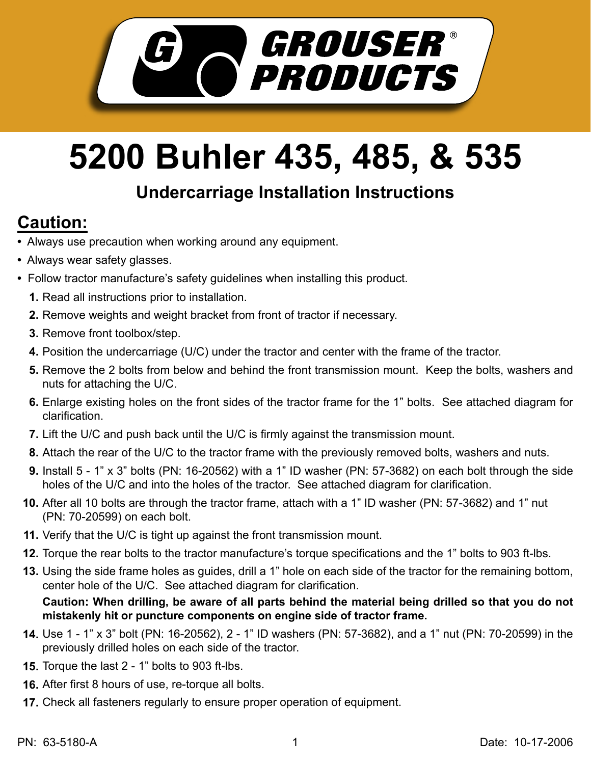

## **5200 Buhler 435, 485, & 535**

## **Undercarriage Installation Instructions**

## **Caution:**

- Always use precaution when working around any equipment.
- Always wear safety glasses.
- Follow tractor manufacture's safety guidelines when installing this product.
	- **1.** Read all instructions prior to installation.
	- 2. Remove weights and weight bracket from front of tractor if necessary.
	- **3.** Remove front toolbox/step.
	- Position the undercarriage (U/C) under the tractor and center with the frame of the tractor. **4.**
	- **5.** Remove the 2 bolts from below and behind the front transmission mount. Keep the bolts, washers and nuts for attaching the U/C.
	- Enlarge existing holes on the front sides of the tractor frame for the 1" bolts. See attached diagram for **6.** clarification.
	- **7.** Lift the U/C and push back until the U/C is firmly against the transmission mount.
	- Attach the rear of the U/C to the tractor frame with the previously removed bolts, washers and nuts. **8.**
	- **9.** Install 5 1" x 3" bolts (PN: 16-20562) with a 1" ID washer (PN: 57-3682) on each bolt through the side holes of the U/C and into the holes of the tractor. See attached diagram for clarification.
	- **10.** After all 10 bolts are through the tractor frame, attach with a 1" ID washer (PN: 57-3682) and 1" nut (PN: 70-20599) on each bolt.
	- **11.** Verify that the U/C is tight up against the front transmission mount.
	- **12.** Torque the rear bolts to the tractor manufacture's torque specifications and the 1" bolts to 903 ft-lbs.
	- Using the side frame holes as guides, drill a 1" hole on each side of the tractor for the remaining bottom, **13.** center hole of the U/C. See attached diagram for clarification.

**Caution: When drilling, be aware of all parts behind the material being drilled so that you do not mistakenly hit or puncture components on engine side of tractor frame.**

- Use 1 1" x 3" bolt (PN: 16-20562), 2 1" ID washers (PN: 57-3682), and a 1" nut (PN: 70-20599) in the **14.** previously drilled holes on each side of the tractor.
- **15.** Torque the last 2 1" bolts to 903 ft-lbs.
- After first 8 hours of use, re-torque all bolts. **16.**
- 17. Check all fasteners regularly to ensure proper operation of equipment.